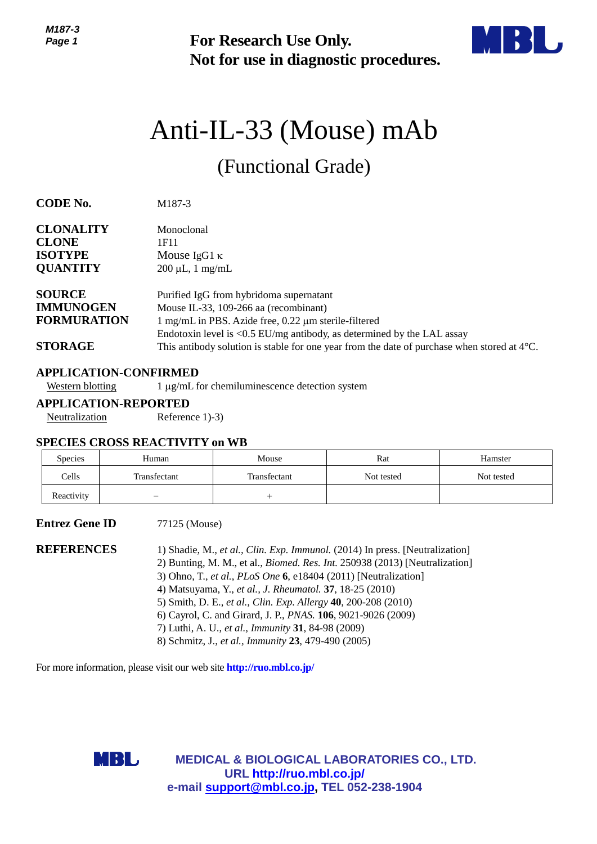

# Anti-IL-33 (Mouse) mAb

| כ- וטו ויו<br>Page 1                                                      |                                                                              | <b>For Research Use Only.</b><br>Not for use in diagnostic procedures.                                                                                                                                                                                                                                                                                                     |                                                                                                                                                                                    |            |  |
|---------------------------------------------------------------------------|------------------------------------------------------------------------------|----------------------------------------------------------------------------------------------------------------------------------------------------------------------------------------------------------------------------------------------------------------------------------------------------------------------------------------------------------------------------|------------------------------------------------------------------------------------------------------------------------------------------------------------------------------------|------------|--|
|                                                                           |                                                                              |                                                                                                                                                                                                                                                                                                                                                                            | Anti-IL-33 (Mouse) mAb                                                                                                                                                             |            |  |
|                                                                           |                                                                              | (Functional Grade)                                                                                                                                                                                                                                                                                                                                                         |                                                                                                                                                                                    |            |  |
| <b>CODE No.</b>                                                           | M187-3                                                                       |                                                                                                                                                                                                                                                                                                                                                                            |                                                                                                                                                                                    |            |  |
| <b>CLONALITY</b><br><b>CLONE</b><br><b>ISOTYPE</b><br><b>QUANTITY</b>     | Monoclonal<br>1F11<br>Mouse IgG1 $\kappa$<br>$200 \mu L$ , 1 mg/mL           |                                                                                                                                                                                                                                                                                                                                                                            |                                                                                                                                                                                    |            |  |
| <b>SOURCE</b><br><b>IMMUNOGEN</b><br><b>FORMURATION</b><br><b>STORAGE</b> |                                                                              | Purified IgG from hybridoma supernatant<br>Mouse IL-33, 109-266 aa (recombinant)<br>1 mg/mL in PBS. Azide free, 0.22 µm sterile-filtered                                                                                                                                                                                                                                   | Endotoxin level is $<$ 0.5 EU/mg antibody, as determined by the LAL assay<br>This antibody solution is stable for one year from the date of purchase when stored at $4^{\circ}$ C. |            |  |
| <b>Western blotting</b>                                                   | <b>APPLICATION-CONFIRMED</b>                                                 | 1 μg/mL for chemiluminescence detection system                                                                                                                                                                                                                                                                                                                             |                                                                                                                                                                                    |            |  |
| Neutralization                                                            | <b>APPLICATION-REPORTED</b><br>Reference 1)-3)                               |                                                                                                                                                                                                                                                                                                                                                                            |                                                                                                                                                                                    |            |  |
|                                                                           | <b>SPECIES CROSS REACTIVITY on WB</b>                                        |                                                                                                                                                                                                                                                                                                                                                                            |                                                                                                                                                                                    |            |  |
| Species                                                                   | Human                                                                        | Mouse                                                                                                                                                                                                                                                                                                                                                                      | Rat                                                                                                                                                                                | Hamster    |  |
| Cells                                                                     | Transfectant                                                                 | Transfectant                                                                                                                                                                                                                                                                                                                                                               | Not tested                                                                                                                                                                         | Not tested |  |
| Reactivity                                                                |                                                                              | $^{+}$                                                                                                                                                                                                                                                                                                                                                                     |                                                                                                                                                                                    |            |  |
| <b>Entrez Gene ID</b>                                                     | 77125 (Mouse)                                                                |                                                                                                                                                                                                                                                                                                                                                                            |                                                                                                                                                                                    |            |  |
| <b>REFERENCES</b>                                                         |                                                                              | 3) Ohno, T., et al., PLoS One 6, e18404 (2011) [Neutralization]<br>4) Matsuyama, Y., et al., J. Rheumatol. 37, 18-25 (2010)<br>5) Smith, D. E., et al., Clin. Exp. Allergy 40, 200-208 (2010)<br>6) Cayrol, C. and Girard, J. P., PNAS. 106, 9021-9026 (2009)<br>7) Luthi, A. U., et al., Immunity 31, 84-98 (2009)<br>8) Schmitz, J., et al., Immunity 23, 479-490 (2005) | 1) Shadie, M., et al., Clin. Exp. Immunol. (2014) In press. [Neutralization]<br>2) Bunting, M. M., et al., <i>Biomed. Res. Int.</i> 250938 (2013) [Neutralization]                 |            |  |
|                                                                           | For more information, please visit our web site <b>http://ruo.mbl.co.jp/</b> |                                                                                                                                                                                                                                                                                                                                                                            |                                                                                                                                                                                    |            |  |
|                                                                           | MBL,                                                                         | URL http://ruo.mbl.co.jp/<br>e-mail support@mbl.co.jp, TEL 052-238-1904                                                                                                                                                                                                                                                                                                    | <b>MEDICAL &amp; BIOLOGICAL LABORATORIES CO., LTD.</b>                                                                                                                             |            |  |

#### **APPLICATION-CONFIRMED**

#### **APPLICATION-REPORTED**

#### **SPECIES CROSS REACTIVITY on WB**

| <b>Species</b> | Human        | Mouse        | Rat        | Hamster    |
|----------------|--------------|--------------|------------|------------|
| Cells          | Transfectant | Transfectant | Not tested | Not tested |
| Reactivity     | -            |              |            |            |

#### **Entrez Gene ID** 77125 (Mouse)

| 1) Shadie, M., et al., Clin. Exp. Immunol. (2014) In press. [Neutralization]       |
|------------------------------------------------------------------------------------|
| 2) Bunting, M. M., et al., <i>Biomed. Res. Int.</i> 250938 (2013) [Neutralization] |
| 3) Ohno, T., et al., PLoS One $6$ , e18404 (2011) [Neutralization]                 |
| 4) Matsuyama, Y., et al., J. Rheumatol. 37, 18-25 (2010)                           |
| 5) Smith, D. E., et al., Clin. Exp. Allergy 40, 200-208 (2010)                     |
| 6) Cayrol, C. and Girard, J. P., <i>PNAS</i> . <b>106</b> , 9021-9026 (2009)       |
| 7) Luthi, A. U., et al., Immunity 31, 84-98 (2009)                                 |
| 8) Schmitz, J., et al., Immunity 23, 479-490 (2005)                                |
|                                                                                    |

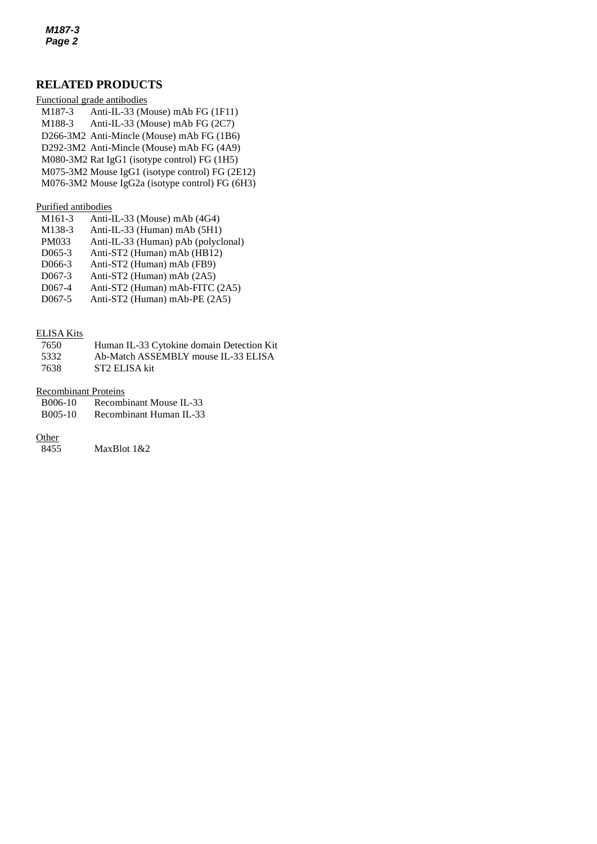# **RELATED PRODUCTS**

|                     | Functional grade antibodies                     |
|---------------------|-------------------------------------------------|
| M <sub>1</sub> 87-3 | Anti-IL-33 (Mouse) mAb FG (1F11)                |
| M188-3              | Anti-IL-33 (Mouse) mAb FG (2C7)                 |
|                     | D266-3M2 Anti-Mincle (Mouse) mAb FG (1B6)       |
|                     | D292-3M2 Anti-Mincle (Mouse) mAb FG (4A9)       |
|                     | M080-3M2 Rat IgG1 (isotype control) FG (1H5)    |
|                     | M075-3M2 Mouse IgG1 (isotype control) FG (2E12) |
|                     | M076-3M2 Mouse IgG2a (isotype control) FG (6H3) |

#### Purified antibodies

| M <sub>161</sub> -3 | Anti-IL-33 (Mouse) mAb (4G4)        |
|---------------------|-------------------------------------|
| M138-3              | Anti-IL-33 (Human) mAb (5H1)        |
| PM033               | Anti-IL-33 (Human) pAb (polyclonal) |
| $D065-3$            | Anti-ST2 (Human) mAb (HB12)         |
| D <sub>066</sub> -3 | Anti-ST2 (Human) mAb (FB9)          |
| $D067-3$            | Anti-ST2 (Human) mAb (2A5)          |
| D <sub>067-4</sub>  | Anti-ST2 (Human) mAb-FITC (2A5)     |
| $D067-5$            | Anti-ST2 (Human) mAb-PE (2A5)       |
|                     |                                     |

#### ELISA Kits

| 7650 | Human IL-33 Cytokine domain Detection Kit |
|------|-------------------------------------------|
| 5332 | Ab-Match ASSEMBLY mouse IL-33 ELISA       |
| 7638 | ST2 ELISA kit                             |

#### Recombinant Proteins

| B006-10<br>Recombinant Mouse IL-33 |  |
|------------------------------------|--|
|------------------------------------|--|

B005-10 [Recombinant Human IL-33](http://ruo.mbl.co.jp/dtl/P/B005-10/)

# $rac{\text{Other}}{8455}$

MaxBlot 1&2